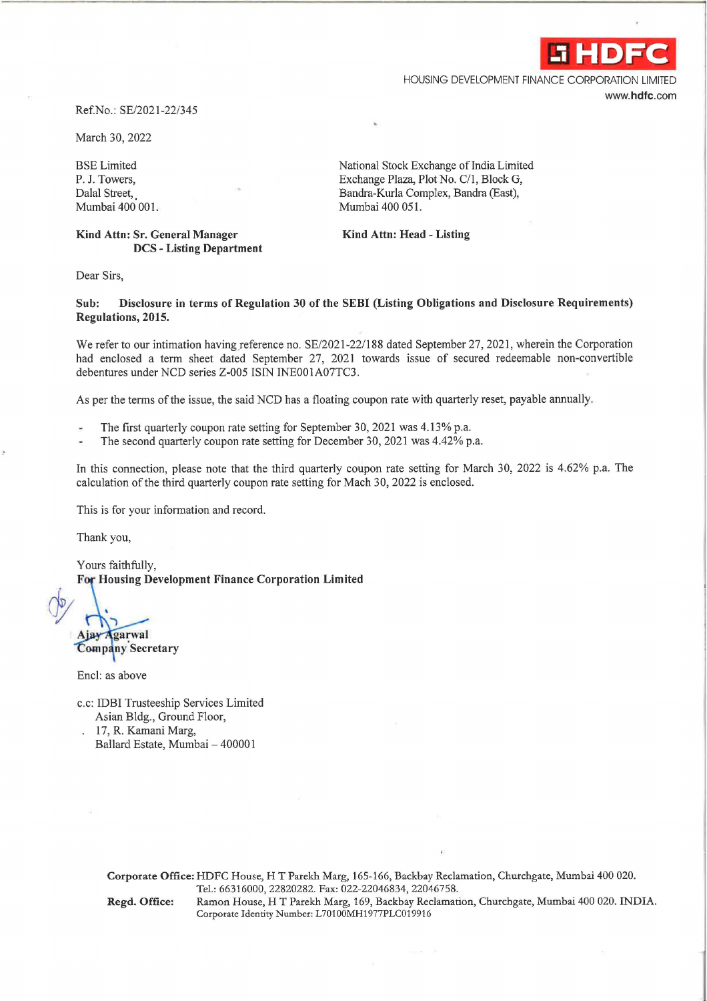

HOUSING DEVELOPMENT FINANCE CORPORATION LIMITED **www.hdfc.com** 

## Ref.No.: SE/2021-22/345

March 30, 2022

BSE Limited P. J. Towers, Dalal Street, Mumbai 400 001.

**Kind Attn: Sr. General Manager DCS** - **Listing Department**  National Stock Exchange of India Limited Exchange Plaza, Plot No. C/1, Block G, Bandra-Kurla Complex, Bandra (East), Mumbai 400 051.

**Kind Attn: Head** - **Listing** 

Dear Sirs,

**Sub: Disclosure in terms of Regulation 30 of the SEBI (Listing Obligations and Disclosure Requirements) Regulations, 2015.** 

We refer to our intimation having reference no. SE/2021-22/188 dated September 27, 2021, wherein the Corporation had enclosed a term sheet dated September 27, 2021 towards issue of secured redeemable non-convertible debentures under NCD series Z-005 ISIN INE00IA07TC3.

As per the terms of the issue, the said NCD has a floating coupon rate with quarterly reset, payable annually.

- The first quarterly coupon rate setting for September 30, 2021 was 4.13% p.a.
- The second quarterly coupon rate setting for December 30, 2021 was 4.42% p.a.

In this connection, please note that the third quarterly coupon rate setting for March 30, 2022 is 4.62% p.a. The calculation of the third quarterly coupon rate setting for Mach 30, 2022 is enclosed.

This is for your information and record.

Thank you,

Yours faithfully, For Housing Development Finance Corporation Limited

*dy*  Ajay Agarwal

**Company Secretary** 

Encl: as above

c.c: IDBI Trusteeship Services Limited Asian Bldg., Ground Floor,

17, R. Kamani Marg, Ballard Estate, Mumbai - 400001

> **Corporate Office:** HDFC House, HT Parekh Marg, 165-166, Backbay Reclamation, Churchgate, Mumbai 400 020. Tel.: 66316000, 22820282. Fax: 022-22046834, 22046758.

**Regd. Office:** Ramon House, HT Parekh Marg, 169, Backbay Reclamation, Churchgate, Mumbai 400 020. INDIA. Corporate Identity Number: L70100MH1977PLC019916